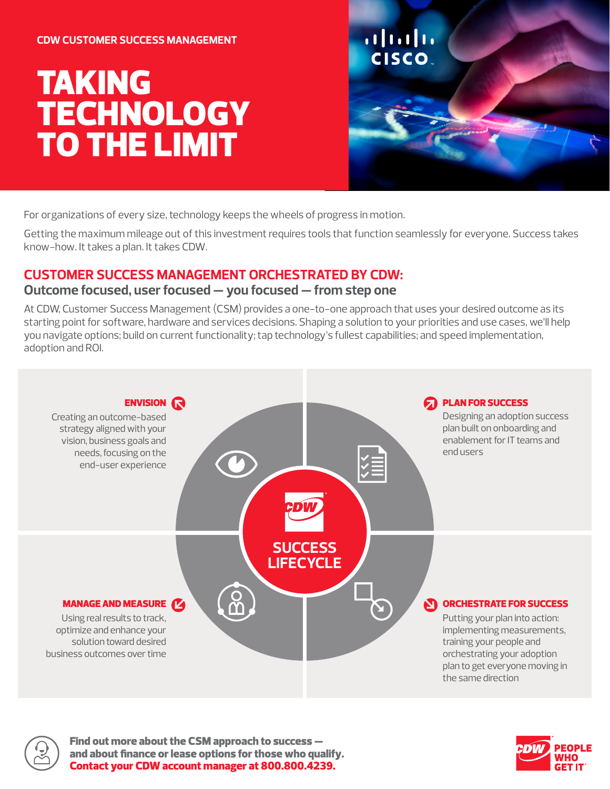#### **CDW CUSTOMER SUCCESS MANAGEMENT**

# TAKING **TECHNOLOGY** TO THE LIMIT



For organizations of every size, technology keeps the wheels of progress in motion.

Getting the maximum mileage out of this investment requires tools that function seamlessly for everyone. Success takes know-how. It takes a plan. It takes CDW.

## **CUSTOMER SUCCESS MANAGEMENT ORCHESTRATED BY CDW:**

#### **Outcome focused, user focused — you focused — from step one**

At CDW, Customer Success Management (CSM) provides a one-to-one approach that uses your desired outcome as its starting point for software, hardware and services decisions. Shaping a solution to your priorities and use cases, we'll help you navigate options; build on current functionality; tap technology's fullest capabilities; and speed implementation, adoption and ROI.